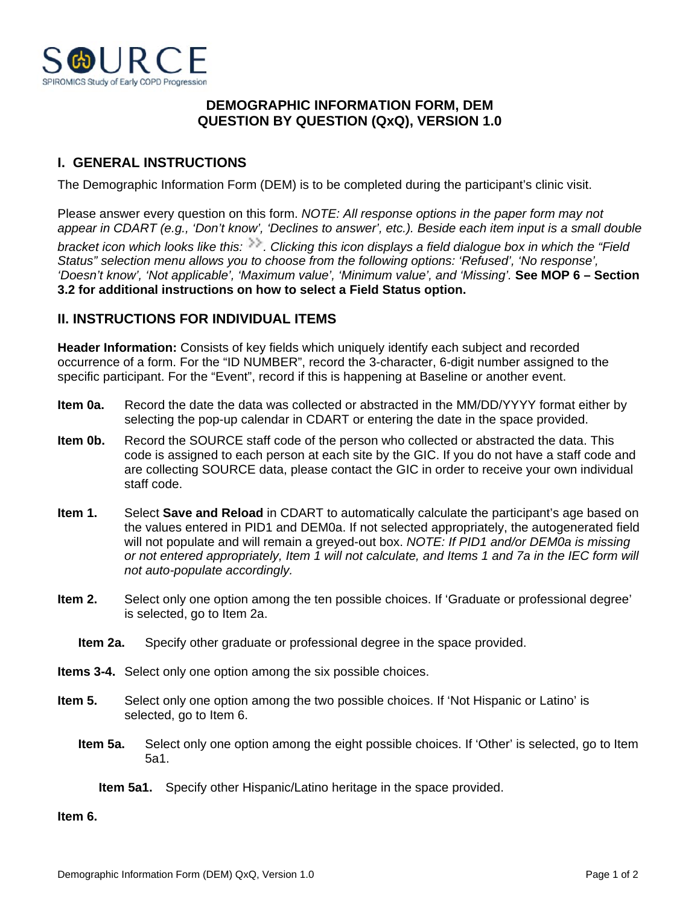

## **DEMOGRAPHIC INFORMATION FORM, DEM QUESTION BY QUESTION (QxQ), VERSION 1.0**

## **I. GENERAL INSTRUCTIONS**

The Demographic Information Form (DEM) is to be completed during the participant's clinic visit.

Please answer every question on this form. *NOTE: All response options in the paper form may not appear in CDART (e.g., 'Don't know', 'Declines to answer', etc.). Beside each item input is a small double bracket icon which looks like this: . Clicking this icon displays a field dialogue box in which the "Field Status" selection menu allows you to choose from the following options: 'Refused', 'No response', 'Doesn't know', 'Not applicable', 'Maximum value', 'Minimum value', and 'Missing'.* **See MOP 6 – Section 3.2 for additional instructions on how to select a Field Status option.**

## **II. INSTRUCTIONS FOR INDIVIDUAL ITEMS**

**Header Information:** Consists of key fields which uniquely identify each subject and recorded occurrence of a form. For the "ID NUMBER", record the 3-character, 6-digit number assigned to the specific participant. For the "Event", record if this is happening at Baseline or another event.

- **Item 0a.** Record the date the data was collected or abstracted in the MM/DD/YYYY format either by selecting the pop-up calendar in CDART or entering the date in the space provided.
- **Item 0b.** Record the SOURCE staff code of the person who collected or abstracted the data. This code is assigned to each person at each site by the GIC. If you do not have a staff code and are collecting SOURCE data, please contact the GIC in order to receive your own individual staff code.
- **Item 1.** Select **Save and Reload** in CDART to automatically calculate the participant's age based on the values entered in PID1 and DEM0a. If not selected appropriately, the autogenerated field will not populate and will remain a greyed-out box. *NOTE: If PID1 and/or DEM0a is missing or not entered appropriately, Item 1 will not calculate, and Items 1 and 7a in the IEC form will not auto-populate accordingly.*
- **Item 2.** Select only one option among the ten possible choices. If 'Graduate or professional degree' is selected, go to Item 2a.
	- **Item 2a.** Specify other graduate or professional degree in the space provided.
- **Items 3-4.** Select only one option among the six possible choices.
- **Item 5.** Select only one option among the two possible choices. If 'Not Hispanic or Latino' is selected, go to Item 6.
	- **Item 5a.** Select only one option among the eight possible choices. If 'Other' is selected, go to Item 5a1.
		- **Item 5a1.** Specify other Hispanic/Latino heritage in the space provided.

**Item 6.**